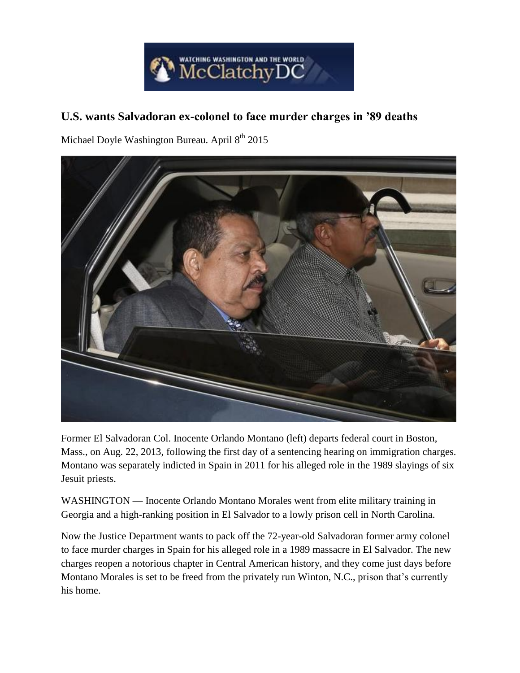

## **U.S. wants Salvadoran ex-colonel to face murder charges in '89 deaths**

Michael Doyle Washington Bureau. April $8^\mathrm{th}$  2015



Former El Salvadoran Col. Inocente Orlando Montano (left) departs federal court in Boston, Mass., on Aug. 22, 2013, following the first day of a sentencing hearing on immigration charges. Montano was separately indicted in Spain in 2011 for his alleged role in the 1989 slayings of six Jesuit priests.

WASHINGTON — Inocente Orlando Montano Morales went from elite military training in Georgia and a high-ranking position in El Salvador to a lowly prison cell in North Carolina.

Now the Justice Department wants to pack off the 72-year-old Salvadoran former army colonel to face murder charges in Spain for his alleged role in a 1989 massacre in El Salvador. The new charges reopen a notorious chapter in Central American history, and they come just days before Montano Morales is set to be freed from the privately run Winton, N.C., prison that's currently his home.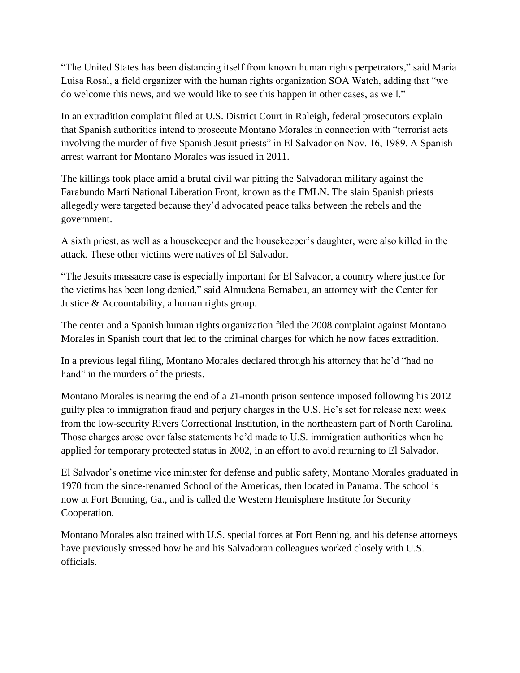"The United States has been distancing itself from known human rights perpetrators," said Maria Luisa Rosal, a field organizer with the human rights organization SOA Watch, adding that "we do welcome this news, and we would like to see this happen in other cases, as well."

In an extradition complaint filed at U.S. District Court in Raleigh, federal prosecutors explain that Spanish authorities intend to prosecute Montano Morales in connection with "terrorist acts involving the murder of five Spanish Jesuit priests" in El Salvador on Nov. 16, 1989. A Spanish arrest warrant for Montano Morales was issued in 2011.

The killings took place amid a brutal civil war pitting the Salvadoran military against the Farabundo Martí National Liberation Front, known as the FMLN. The slain Spanish priests allegedly were targeted because they'd advocated peace talks between the rebels and the government.

A sixth priest, as well as a housekeeper and the housekeeper's daughter, were also killed in the attack. These other victims were natives of El Salvador.

"The Jesuits massacre case is especially important for El Salvador, a country where justice for the victims has been long denied," said Almudena Bernabeu, an attorney with the Center for Justice & Accountability, a human rights group.

The center and a Spanish human rights organization filed the 2008 complaint against Montano Morales in Spanish court that led to the criminal charges for which he now faces extradition.

In a previous legal filing, Montano Morales declared through his attorney that he'd "had no hand" in the murders of the priests.

Montano Morales is nearing the end of a 21-month prison sentence imposed following his 2012 guilty plea to immigration fraud and perjury charges in the U.S. He's set for release next week from the low-security Rivers Correctional Institution, in the northeastern part of North Carolina. Those charges arose over false statements he'd made to U.S. immigration authorities when he applied for temporary protected status in 2002, in an effort to avoid returning to El Salvador.

El Salvador's onetime vice minister for defense and public safety, Montano Morales graduated in 1970 from the since-renamed School of the Americas, then located in Panama. The school is now at Fort Benning, Ga., and is called the Western Hemisphere Institute for Security Cooperation.

Montano Morales also trained with U.S. special forces at Fort Benning, and his defense attorneys have previously stressed how he and his Salvadoran colleagues worked closely with U.S. officials.